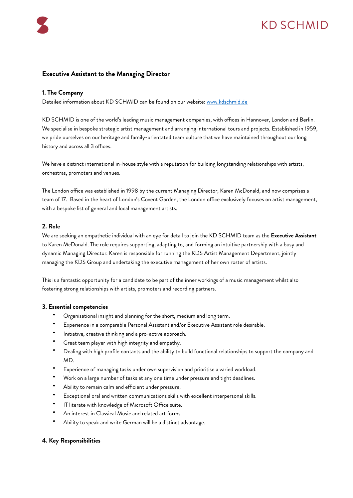# KD SCHMID

## **Executive Assistant to the Managing Director**

#### **1. The Company**

Detailed information about KD SCHMID can be found on our website: [www.kdschmid.de](http://www.kdschmid.de)

KD SCHMID is one of the world's leading music management companies, with offices in Hannover, London and Berlin. We specialise in bespoke strategic artist management and arranging international tours and projects. Established in 1959, we pride ourselves on our heritage and family-orientated team culture that we have maintained throughout our long history and across all 3 offices.

We have a distinct international in-house style with a reputation for building longstanding relationships with artists, orchestras, promoters and venues.

The London office was established in 1998 by the current Managing Director, Karen McDonald, and now comprises a team of 17. Based in the heart of London's Covent Garden, the London office exclusively focuses on artist management, with a bespoke list of general and local management artists.

#### **2. Role**

We are seeking an empathetic individual with an eye for detail to join the KD SCHMID team as the **Executive Assistant** to Karen McDonald. The role requires supporting, adapting to, and forming an intuitive partnership with a busy and dynamic Managing Director. Karen is responsible for running the KDS Artist Management Department, jointly managing the KDS Group and undertaking the executive management of her own roster of artists.

This is a fantastic opportunity for a candidate to be part of the inner workings of a music management whilst also fostering strong relationships with artists, promoters and recording partners.

#### **3. Essential competencies**

- Organisational insight and planning for the short, medium and long term.
- Experience in a comparable Personal Assistant and/or Executive Assistant role desirable.
- Initiative, creative thinking and a pro-active approach.
- Great team player with high integrity and empathy.
- Dealing with high profile contacts and the ability to build functional relationships to support the company and MD.
- Experience of managing tasks under own supervision and prioritise a varied workload.
- Work on a large number of tasks at any one time under pressure and tight deadlines.
- Ability to remain calm and efficient under pressure.
- Exceptional oral and written communications skills with excellent interpersonal skills.
- IT literate with knowledge of Microsoft Office suite.
- An interest in Classical Music and related art forms.
- Ability to speak and write German will be a distinct advantage.

### **4. Key Responsibilities**